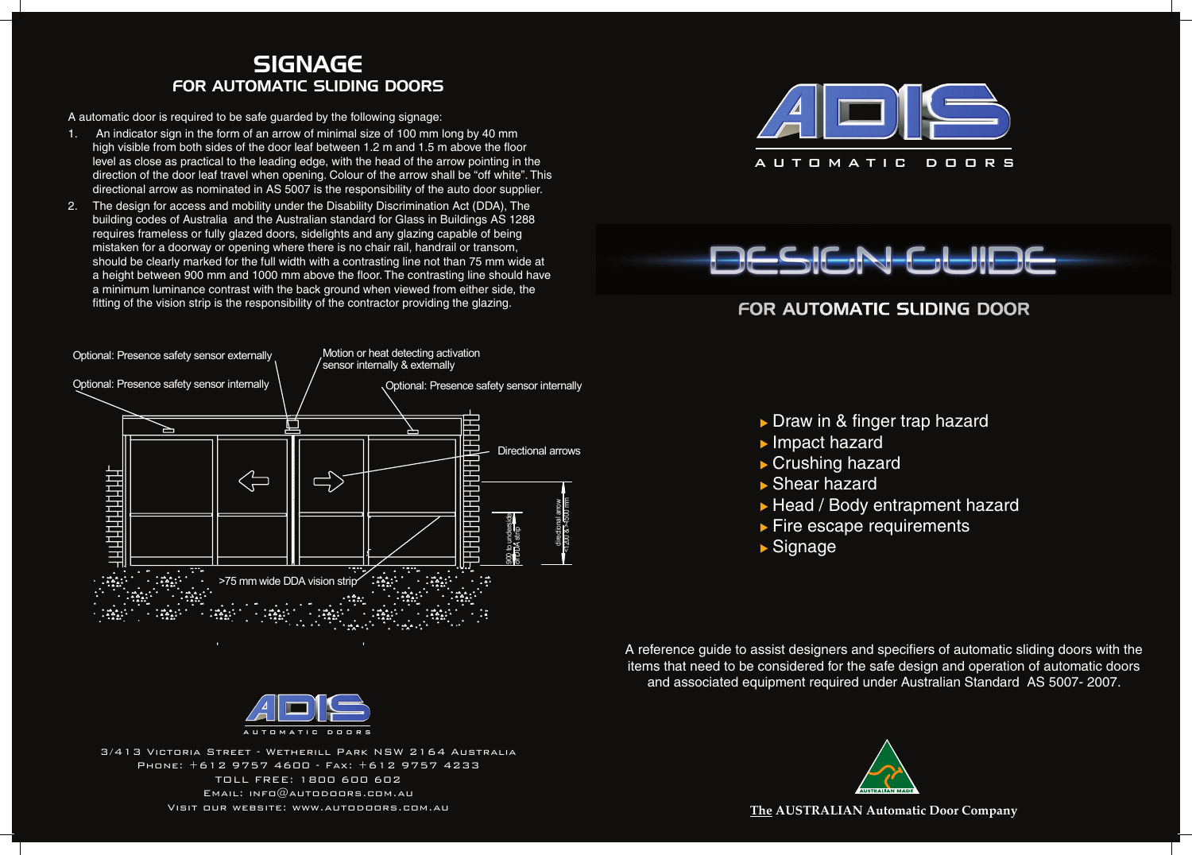







3/413 Victoria Street - Wetherill Park NSW 2164 Australia Phone: +612 9757 4600 - Fax: +612 9757 4233 TOLL FREE: 1800 600 602 Email: info@autodoors.com.au Visit our website: www.autodoors.com.au

# For automatic sliding Door

Draw in & finger trap hazard ▶ Head / Body entrapment hazard **Fire escape requirements** 

A automatic door is required to be safe guarded by the following signage:

- 1. An indicator sign in the form of an arrow of minimal size of 100 mm long by 40 mm high visible from both sides of the door leaf between 1.2 m and 1.5 m above the floor level as close as practical to the leading edge, with the head of the arrow pointing in the direction of the door leaf travel when opening. Colour of the arrow shall be "off white". This directional arrow as nominated in AS 5007 is the responsibility of the auto door supplier.
- 2. The design for access and mobility under the Disability Discrimination Act (DDA), The building codes of Australia and the Australian standard for Glass in Buildings AS 1288 requires frameless or fully glazed doors, sidelights and any glazing capable of being mistaken for a doorway or opening where there is no chair rail, handrail or transom, should be clearly marked for the full width with a contrasting line not than 75 mm wide at a height between 900 mm and 1000 mm above the floor. The contrasting line should have a minimum luminance contrast with the back ground when viewed from either side, the fitting of the vision strip is the responsibility of the contractor providing the glazing.

- 
- **Impact hazard**
- ▶ Crushing hazard
- ▶ Shear hazard
- 
- 
- Signage

# SIGNAGE for automatic sliding doors





A reference guide to assist designers and specifiers of automatic sliding doors with the items that need to be considered for the safe design and operation of automatic doors and associated equipment required under Australian Standard AS 5007- 2007.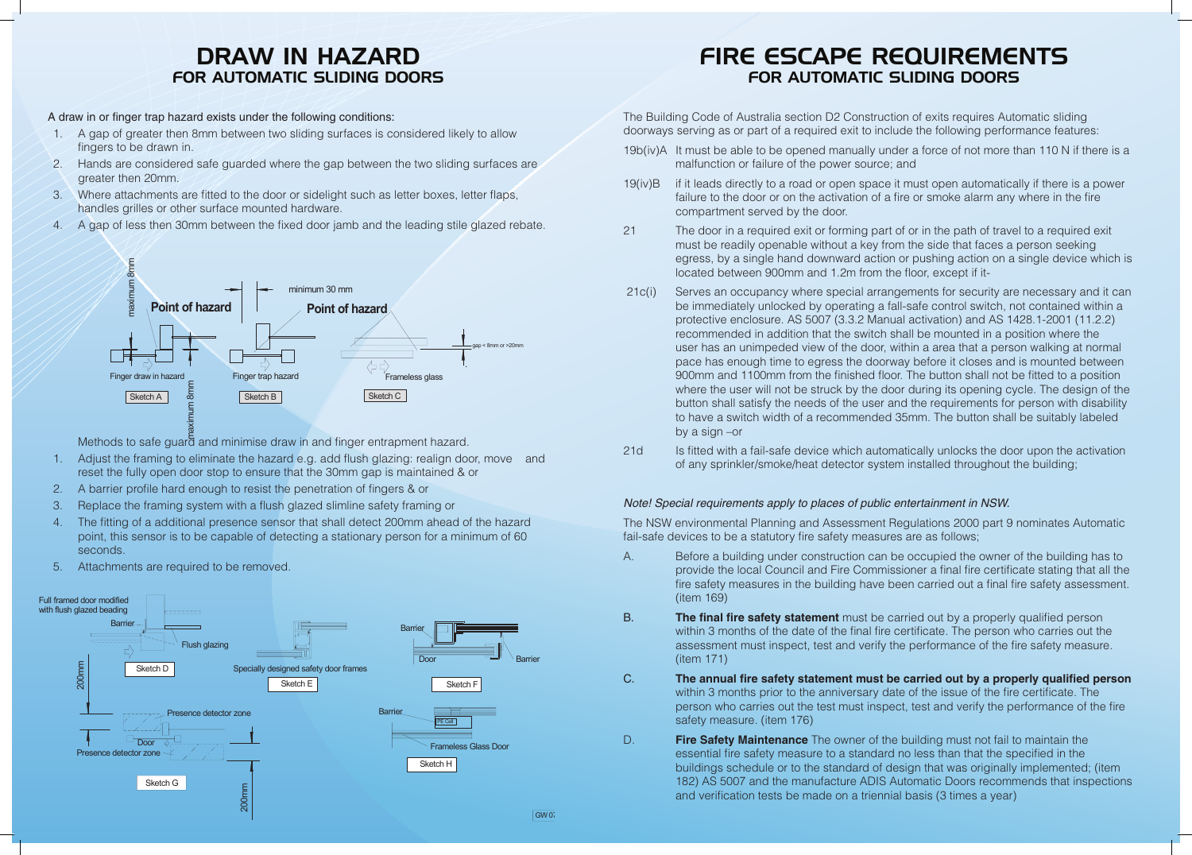The Building Code of Australia section D2 Construction of exits requires Automatic sliding doorways serving as or part of a required exit to include the following performance features:

19b(iv)A It must be able to be opened manually under a force of not more than 110 N if there is a

malfunction or failure of the power source; and

21d Is fitted with a fail-safe device which automatically unlocks the door upon the activation of any sprinkler/smoke/heat detector system installed throughout the building;

19(iv)B if it leads directly to a road or open space it must open automatically if there is a power failure to the door or on the activation of a fire or smoke alarm any where in the fire compartment served by the door.

21 The door in a required exit or forming part of or in the path of travel to a required exit must be readily openable without a key from the side that faces a person seeking egress, by a single hand downward action or pushing action on a single device which is located between 900mm and 1.2m from the floor, except if it-

 21c(i) Serves an occupancy where special arrangements for security are necessary and it can be immediately unlocked by operating a fall-safe control switch, not contained within a protective enclosure. AS 5007 (3.3.2 Manual activation) and AS 1428.1-2001 (11.2.2) recommended in addition that the switch shall be mounted in a position where the user has an unimpeded view of the door, within a area that a person walking at normal pace has enough time to egress the doorway before it closes and is mounted between 900mm and 1100mm from the finished floor. The button shall not be fitted to a position where the user will not be struck by the door during its opening cycle. The design of the button shall satisfy the needs of the user and the requirements for person with disability to have a switch width of a recommended 35mm. The button shall be suitably labeled

by a sign –or

## *Note! Special requirements apply to places of public entertainment in NSW.*

# DRAW IN HAZARD<br>FOR AUTOMATIC SLIDING DOORS for automatic sliding doors DRAW IN HAZARD

The NSW environmental Planning and Assessment Regulations 2000 part 9 nominates Automatic fail-safe devices to be a statutory fire safety measures are as follows;

A draw in or finger trap hazard exists under the following conditions: **A draw in or finger trap hazard exists under the following conditions**: **A draw in or finger trap hazard exists under the following conditions**:

- 1. A gap of greater then 8mm between two sliding surfaces is considered likely to allow finance to be drawn in fingers to be drawn in.  $\frac{1}{\sqrt{2\pi}}$
- 2. Hands are considered safe guarded where the gap between the two sliding surfaces are greater then  $20$ mm. All the greater then  $30$ mm.  $20mm$
- 3. Where attachments are fitted to the door or sidelight such as letter boxes, letter flaps, handles grilles or other surface mounted hardware. illes or other surface mounted hardware.<br> **letter flaps**, handles grilles grilles grilles or other surface mounted hardware. chments are fitted to the door or sidelight such as letter boxes, lett
- 4. A gap of less then 30mm between the fixed door jamb and the leading stile glazed rebate.

A. Before a building under construction can be occupied the owner of the building has to provide the local Council and Fire Commissioner a final fire certificate stating that all the fire safety measures in the building have been carried out a final fire safety assessment.

> within 3 months of the date of the final fire certificate. The person who carries out the assessment must inspect, test and verify the performance of the fire safety measure.

## C. **The annual fire safety statement must be carried out by a properly qualified person**

within 3 months prior to the anniversary date of the issue of the fire certificate. The person who carries out the test must inspect, test and verify the performance of the fire

- (item 169)
- B. **The final fire safety statement** must be carried out by a properly qualified person (item 171)
- safety measure. (item 176)
- D. **Fire Safety Maintenance** The owner of the building must not fail to maintain the and verification tests be made on a triennial basis (3 times a year)

essential fire safety measure to a standard no less than that the specified in the buildings schedule or to the standard of design that was originally implemented; (item 182) AS 5007 and the manufacture ADIS Automatic Doors recommends that inspections

# Fire escape requirements for automatic sliding doors



Methods to safe guard and minimise draw in and finger entrapment hazard.

- 1. Adjust the framing to eliminate the hazard e.g. add flush glazing: realign door, move and reset the fully open door stop to ensure that the 30mm gap is maintained & or **Methods to safe guard and minimise draw in and finger entrapment hazard.**
- 2. A barrier profile hard enough to resist the penetration of fingers & or
- 3. Replace the framing system with a flush glazed slimline safety framing or
- e. The fitting of a additional presence sensor that shall detect 200mm ahead of the hazard me manger a additional presence sensor that shall detect Essmith ahead of the haddle seconds. sensor is to be capable of detecting a stationary person for a minimum of of a additional presence sensor that shall detect 200mm anead of
- 5. Attachments are required to be removed.

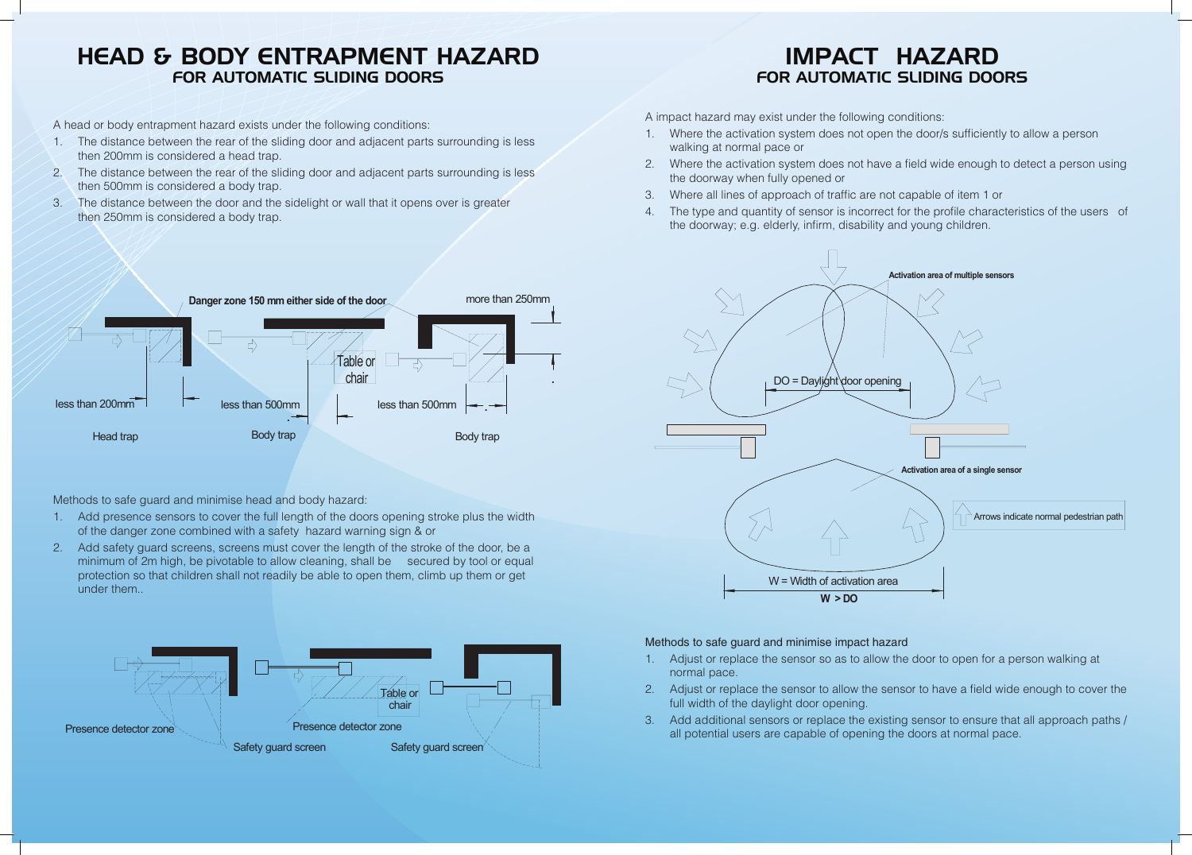## HEAD & BODY ENTRAPMENT HAZA for automatic sliding doors TER ABTOMATIC BEIBING BOOKS FOR AUTOMATIC SLIDING DOORS

A head or body entrapment hazard exists under the following conditions:

- 1. The distance between the rear of the sliding door and adjacent parts surrounding is less then 200mm is considered a head trap.
- 2. The distance between the rear of the sliding door and adjacent parts surrounding is less then 500mm is considered a body trap. **A head of the sliding door and adjacent parts surrounding conditions:**
- 3. The distance between the door and the sidelight or wall that it opens over is greater then 250mm is considered a body trap. form is considered a body trap. 100 Detween the door and the sluelight of wall that it opens over is greater
- 1. Where the activation system does not open the door/s sufficiently to allow a person 1. Where the activation system does not open the door/s sufficiently to allow a person walking at normal pace or walking at normal pace or
- 2. Where the activation system does not have a field wide enough to detect a person using 2. Where the activation system does not have a field wide enough to detect a person using the doorway when fully opened or the doorway when fully opened or
- 3. Where all lines of approach of traffic are not capable of item 1 or 3. Where all lines of approach of traffic are not capable of item 1 or
- 4. The type and quantity of sensor is incorrect for the profile characteristics of the users of the doorway; e.g. elderly, infirm, disability and young children. where an infect of approach of trains are not capable of tierm from The type and quantity of sensor is incorrect for the port-

# **IMPACT HAZARD** for automatic sliding doors for automatic sliding doors

A impact hazard may exist under the following conditions: **A impact hazard may exist under the following conditions**:

- 1. Adjust or replace the sensor so as to allow the door to open for a person walking at 1. Adjust or replace the sensor so as to allow the door to open for a person walking normal pace.
- 2. Adjust or replace the sensor to allow the sensor to have a field wide enough to cover the 2. Adjust or replace the sensor to allow the sensor to have a field wide enough to full width of the daylight door opening. The existing sensors of the existing sensors of the existing sensors o Adjust of replace the sensor to allow the s
- 3. Add additional sensors or replace the existing sensor to ensure that all approach paths / all potential users are capable of opening the doors at normal pace.

### Methods to safe guard and minimise impact hazard **Methods to safe guard and minimise impact hazard**



Methods to safe guard and minimise head and body hazard: **Methods to safe guard and minimise head and body hazard:**

- 1. Add presence sensors to cover the full length of the doors opening stroke plus the width of the danger zone combined with a safety hazard warning sign & or the width of the width of the danger and compiled with a safety sign of the safety has contacted with a safety has
- 2. Add safety guard screens, screens must cover the length of the stroke of the door, be a minimum of 2m high, be pivotable to allow cleaning, shall be secured by tool or equal minimum or zimingh, be pivotable to allow clearing, shall be a secured by toor or equal protection so that children shall not readily be able to open them, climb up them or get under them..  $\sigma$  is to that children shall not readily be able to open them, climb up them to open them, climb up them or get under them, climb up them or get under them.